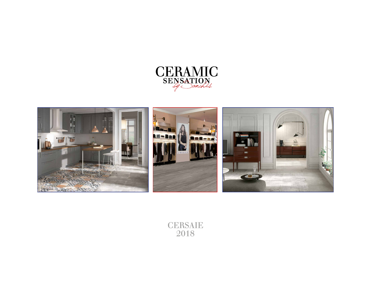



**CERSAIE** 2018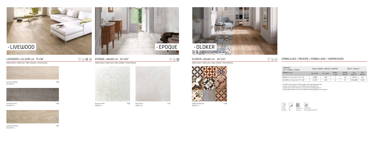

#### LIVEWOOD = 22,5x90 cm · 9"x36"

PORCELÁNICO / PORCELAIN / GRÈS CÉRAME / FEINSTEINZEUG





## $\boxed{\mathbb{P}}$   $\boxed{\blacksquare}$  EPOQUE = 60x60 cm · 24"x24"

Livewood White T-25 22,5x90 cm



PORCELÁNICO / PORCELAIN / GRÈS CÉRAME / FEINSTEINZEUG



60x60 cm

Boat Perla T-31

60x60 cm

PRE

Livewood Grey T-25 22,5x90 cm





Livewood Honey T-25 22,5x90 cm







#### OLDKER · 60x60 cm · 24"x24"

PORCELÁNICO / PORCELAIN / GRÈS CÉRAME / FEINSTEINZEUG



Oldker Multicolor T-32 60x60 cm

# PRE

| <b>FORMATO</b><br>SIZE / FORMAT / FORMAT | CAJAS / BOXES / BOITES / KARTON |                      |                      | PALET / PALLET    |                            |                  |
|------------------------------------------|---------------------------------|----------------------|----------------------|-------------------|----------------------------|------------------|
| Medidas en cm                            | Kg / CAJA *                     | m <sup>2</sup> /CAJA | PZAS/<br><b>CAJA</b> | CAJAS /<br>PALLET | Kq/<br>PALLET <sup>*</sup> | $m2$ /<br>PALLET |
| 60x60 cm. PORCELÁNICO / 24" x 24"        | 29.884                          | 1.08                 | 3                    | 40                | 1.195.344                  | 43.2             |
| 22,5x90 cm. PORCELÁNICO / 9" x 36"       | 25.272                          | 1.215                | 6                    | 54                | 1.364.688                  | 65,61            |

\* Consultar datos exactos en nuestra página web www.azulevgrupo.com

\* Consult exact information on our website www.azulevgrupo.com

\* Consulter des données précises sur notre site www.azulevgrupo.com

\* Genaue daten können sie auf unsere Webseite www.azulevgrupo.com aufsuchen

### EMBALAJES / PACKING / EMBALLAGE / VERPACKUNG